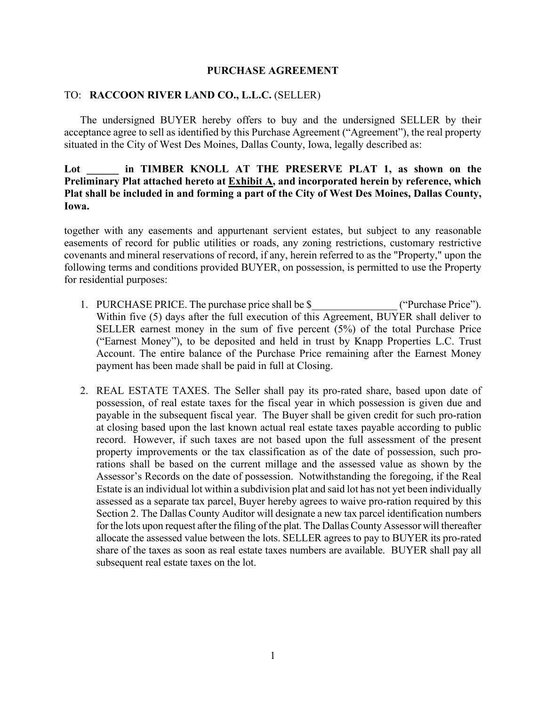#### **PURCHASE AGREEMENT**

#### TO: **RACCOON RIVER LAND CO., L.L.C.** (SELLER)

The undersigned BUYER hereby offers to buy and the undersigned SELLER by their acceptance agree to sell as identified by this Purchase Agreement ("Agreement"), the real property situated in the City of West Des Moines, Dallas County, Iowa, legally described as:

### Lot **in TIMBER KNOLL AT THE PRESERVE PLAT 1, as shown on the Preliminary Plat attached hereto at Exhibit A, and incorporated herein by reference, which Plat shall be included in and forming a part of the City of West Des Moines, Dallas County, Iowa.**

together with any easements and appurtenant servient estates, but subject to any reasonable easements of record for public utilities or roads, any zoning restrictions, customary restrictive covenants and mineral reservations of record, if any, herein referred to as the "Property," upon the following terms and conditions provided BUYER, on possession, is permitted to use the Property for residential purposes:

- 1. PURCHASE PRICE. The purchase price shall be \$  $($ "Purchase Price"). Within five (5) days after the full execution of this Agreement, BUYER shall deliver to SELLER earnest money in the sum of five percent (5%) of the total Purchase Price ("Earnest Money"), to be deposited and held in trust by Knapp Properties L.C. Trust Account. The entire balance of the Purchase Price remaining after the Earnest Money payment has been made shall be paid in full at Closing.
- 2. REAL ESTATE TAXES. The Seller shall pay its pro-rated share, based upon date of possession, of real estate taxes for the fiscal year in which possession is given due and payable in the subsequent fiscal year. The Buyer shall be given credit for such pro-ration at closing based upon the last known actual real estate taxes payable according to public record. However, if such taxes are not based upon the full assessment of the present property improvements or the tax classification as of the date of possession, such prorations shall be based on the current millage and the assessed value as shown by the Assessor's Records on the date of possession. Notwithstanding the foregoing, if the Real Estate is an individual lot within a subdivision plat and said lot has not yet been individually assessed as a separate tax parcel, Buyer hereby agrees to waive pro-ration required by this Section 2. The Dallas County Auditor will designate a new tax parcel identification numbers for the lots upon request after the filing of the plat. The Dallas County Assessor will thereafter allocate the assessed value between the lots. SELLER agrees to pay to BUYER its pro-rated share of the taxes as soon as real estate taxes numbers are available. BUYER shall pay all subsequent real estate taxes on the lot.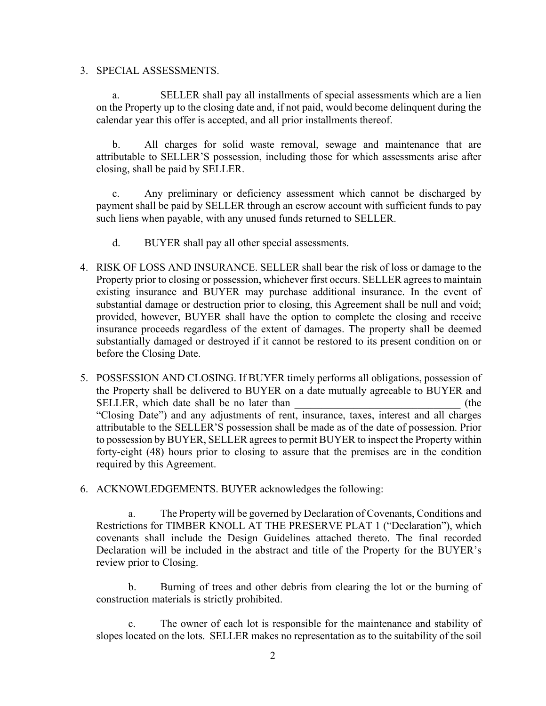3. SPECIAL ASSESSMENTS.

a. SELLER shall pay all installments of special assessments which are a lien on the Property up to the closing date and, if not paid, would become delinquent during the calendar year this offer is accepted, and all prior installments thereof.

b. All charges for solid waste removal, sewage and maintenance that are attributable to SELLER'S possession, including those for which assessments arise after closing, shall be paid by SELLER.

c. Any preliminary or deficiency assessment which cannot be discharged by payment shall be paid by SELLER through an escrow account with sufficient funds to pay such liens when payable, with any unused funds returned to SELLER.

- d. BUYER shall pay all other special assessments.
- 4. RISK OF LOSS AND INSURANCE. SELLER shall bear the risk of loss or damage to the Property prior to closing or possession, whichever first occurs. SELLER agrees to maintain existing insurance and BUYER may purchase additional insurance. In the event of substantial damage or destruction prior to closing, this Agreement shall be null and void; provided, however, BUYER shall have the option to complete the closing and receive insurance proceeds regardless of the extent of damages. The property shall be deemed substantially damaged or destroyed if it cannot be restored to its present condition on or before the Closing Date.
- 5. POSSESSION AND CLOSING. If BUYER timely performs all obligations, possession of the Property shall be delivered to BUYER on a date mutually agreeable to BUYER and SELLER, which date shall be no later than  $($ the "Closing Date") and any adjustments of rent, insurance, taxes, interest and all charges attributable to the SELLER'S possession shall be made as of the date of possession. Prior to possession by BUYER, SELLER agrees to permit BUYER to inspect the Property within forty-eight (48) hours prior to closing to assure that the premises are in the condition required by this Agreement.
- 6. ACKNOWLEDGEMENTS. BUYER acknowledges the following:

a. The Property will be governed by Declaration of Covenants, Conditions and Restrictions for TIMBER KNOLL AT THE PRESERVE PLAT 1 ("Declaration"), which covenants shall include the Design Guidelines attached thereto. The final recorded Declaration will be included in the abstract and title of the Property for the BUYER's review prior to Closing.

b. Burning of trees and other debris from clearing the lot or the burning of construction materials is strictly prohibited.

c. The owner of each lot is responsible for the maintenance and stability of slopes located on the lots. SELLER makes no representation as to the suitability of the soil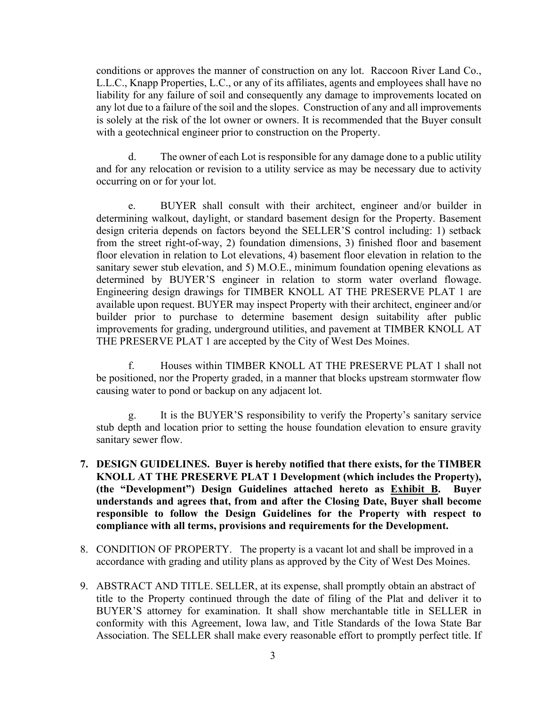conditions or approves the manner of construction on any lot. Raccoon River Land Co., L.L.C., Knapp Properties, L.C., or any of its affiliates, agents and employees shall have no liability for any failure of soil and consequently any damage to improvements located on any lot due to a failure of the soil and the slopes. Construction of any and all improvements is solely at the risk of the lot owner or owners. It is recommended that the Buyer consult with a geotechnical engineer prior to construction on the Property.

d. The owner of each Lot is responsible for any damage done to a public utility and for any relocation or revision to a utility service as may be necessary due to activity occurring on or for your lot.

e. BUYER shall consult with their architect, engineer and/or builder in determining walkout, daylight, or standard basement design for the Property. Basement design criteria depends on factors beyond the SELLER'S control including: 1) setback from the street right-of-way, 2) foundation dimensions, 3) finished floor and basement floor elevation in relation to Lot elevations, 4) basement floor elevation in relation to the sanitary sewer stub elevation, and 5) M.O.E., minimum foundation opening elevations as determined by BUYER'S engineer in relation to storm water overland flowage. Engineering design drawings for TIMBER KNOLL AT THE PRESERVE PLAT 1 are available upon request. BUYER may inspect Property with their architect, engineer and/or builder prior to purchase to determine basement design suitability after public improvements for grading, underground utilities, and pavement at TIMBER KNOLL AT THE PRESERVE PLAT 1 are accepted by the City of West Des Moines.

f. Houses within TIMBER KNOLL AT THE PRESERVE PLAT 1 shall not be positioned, nor the Property graded, in a manner that blocks upstream stormwater flow causing water to pond or backup on any adjacent lot.

g. It is the BUYER'S responsibility to verify the Property's sanitary service stub depth and location prior to setting the house foundation elevation to ensure gravity sanitary sewer flow.

- **7. DESIGN GUIDELINES. Buyer is hereby notified that there exists, for the TIMBER KNOLL AT THE PRESERVE PLAT 1 Development (which includes the Property), (the "Development") Design Guidelines attached hereto as Exhibit B. Buyer understands and agrees that, from and after the Closing Date, Buyer shall become responsible to follow the Design Guidelines for the Property with respect to compliance with all terms, provisions and requirements for the Development.**
- 8. CONDITION OF PROPERTY. The property is a vacant lot and shall be improved in a accordance with grading and utility plans as approved by the City of West Des Moines.
- 9. ABSTRACT AND TITLE. SELLER, at its expense, shall promptly obtain an abstract of title to the Property continued through the date of filing of the Plat and deliver it to BUYER'S attorney for examination. It shall show merchantable title in SELLER in conformity with this Agreement, Iowa law, and Title Standards of the Iowa State Bar Association. The SELLER shall make every reasonable effort to promptly perfect title. If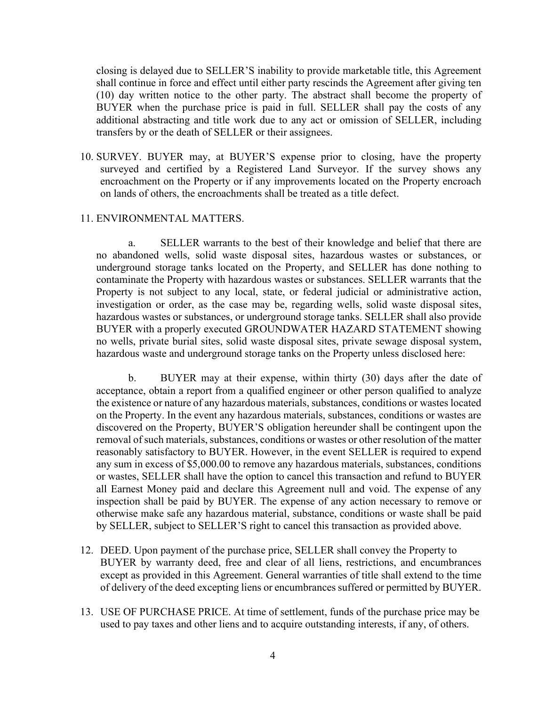closing is delayed due to SELLER'S inability to provide marketable title, this Agreement shall continue in force and effect until either party rescinds the Agreement after giving ten (10) day written notice to the other party. The abstract shall become the property of BUYER when the purchase price is paid in full. SELLER shall pay the costs of any additional abstracting and title work due to any act or omission of SELLER, including transfers by or the death of SELLER or their assignees.

10. SURVEY. BUYER may, at BUYER'S expense prior to closing, have the property surveyed and certified by a Registered Land Surveyor. If the survey shows any encroachment on the Property or if any improvements located on the Property encroach on lands of others, the encroachments shall be treated as a title defect.

#### 11. ENVIRONMENTAL MATTERS.

a. SELLER warrants to the best of their knowledge and belief that there are no abandoned wells, solid waste disposal sites, hazardous wastes or substances, or underground storage tanks located on the Property, and SELLER has done nothing to contaminate the Property with hazardous wastes or substances. SELLER warrants that the Property is not subject to any local, state, or federal judicial or administrative action, investigation or order, as the case may be, regarding wells, solid waste disposal sites, hazardous wastes or substances, or underground storage tanks. SELLER shall also provide BUYER with a properly executed GROUNDWATER HAZARD STATEMENT showing no wells, private burial sites, solid waste disposal sites, private sewage disposal system, hazardous waste and underground storage tanks on the Property unless disclosed here:

b. BUYER may at their expense, within thirty (30) days after the date of acceptance, obtain a report from a qualified engineer or other person qualified to analyze the existence or nature of any hazardous materials, substances, conditions or wastes located on the Property. In the event any hazardous materials, substances, conditions or wastes are discovered on the Property, BUYER'S obligation hereunder shall be contingent upon the removal of such materials, substances, conditions or wastes or other resolution of the matter reasonably satisfactory to BUYER. However, in the event SELLER is required to expend any sum in excess of \$5,000.00 to remove any hazardous materials, substances, conditions or wastes, SELLER shall have the option to cancel this transaction and refund to BUYER all Earnest Money paid and declare this Agreement null and void. The expense of any inspection shall be paid by BUYER. The expense of any action necessary to remove or otherwise make safe any hazardous material, substance, conditions or waste shall be paid by SELLER, subject to SELLER'S right to cancel this transaction as provided above.

- 12. DEED. Upon payment of the purchase price, SELLER shall convey the Property to BUYER by warranty deed, free and clear of all liens, restrictions, and encumbrances except as provided in this Agreement. General warranties of title shall extend to the time of delivery of the deed excepting liens or encumbrances suffered or permitted by BUYER.
- 13. USE OF PURCHASE PRICE. At time of settlement, funds of the purchase price may be used to pay taxes and other liens and to acquire outstanding interests, if any, of others.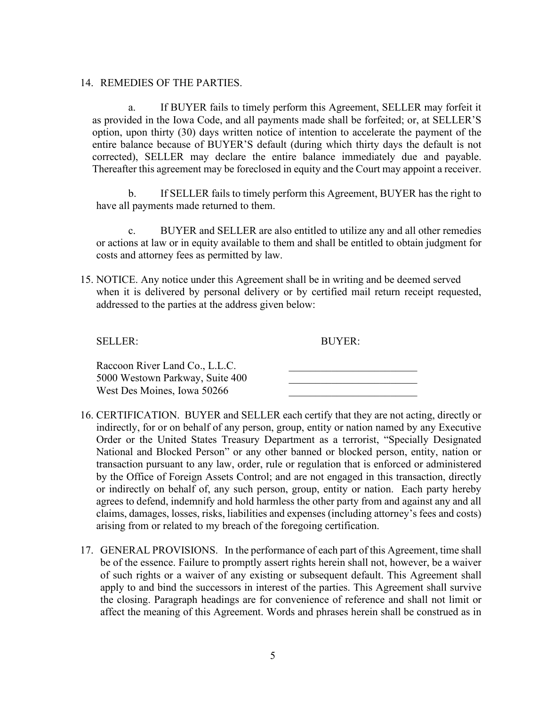14. REMEDIES OF THE PARTIES.

a. If BUYER fails to timely perform this Agreement, SELLER may forfeit it as provided in the Iowa Code, and all payments made shall be forfeited; or, at SELLER'S option, upon thirty (30) days written notice of intention to accelerate the payment of the entire balance because of BUYER'S default (during which thirty days the default is not corrected), SELLER may declare the entire balance immediately due and payable. Thereafter this agreement may be foreclosed in equity and the Court may appoint a receiver.

b. If SELLER fails to timely perform this Agreement, BUYER has the right to have all payments made returned to them.

c. BUYER and SELLER are also entitled to utilize any and all other remedies or actions at law or in equity available to them and shall be entitled to obtain judgment for costs and attorney fees as permitted by law.

15. NOTICE. Any notice under this Agreement shall be in writing and be deemed served when it is delivered by personal delivery or by certified mail return receipt requested, addressed to the parties at the address given below:

SELLER: BUYER:

| Raccoon River Land Co., L.L.C.  |  |
|---------------------------------|--|
| 5000 Westown Parkway, Suite 400 |  |
| West Des Moines, Iowa 50266     |  |

- 16. CERTIFICATION. BUYER and SELLER each certify that they are not acting, directly or indirectly, for or on behalf of any person, group, entity or nation named by any Executive Order or the United States Treasury Department as a terrorist, "Specially Designated National and Blocked Person" or any other banned or blocked person, entity, nation or transaction pursuant to any law, order, rule or regulation that is enforced or administered by the Office of Foreign Assets Control; and are not engaged in this transaction, directly or indirectly on behalf of, any such person, group, entity or nation. Each party hereby agrees to defend, indemnify and hold harmless the other party from and against any and all claims, damages, losses, risks, liabilities and expenses (including attorney's fees and costs) arising from or related to my breach of the foregoing certification.
- 17. GENERAL PROVISIONS. In the performance of each part of this Agreement, time shall be of the essence. Failure to promptly assert rights herein shall not, however, be a waiver of such rights or a waiver of any existing or subsequent default. This Agreement shall apply to and bind the successors in interest of the parties. This Agreement shall survive the closing. Paragraph headings are for convenience of reference and shall not limit or affect the meaning of this Agreement. Words and phrases herein shall be construed as in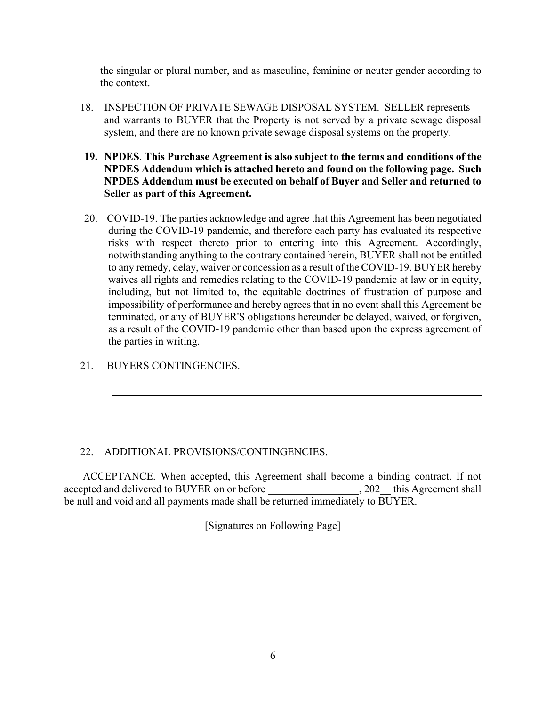the singular or plural number, and as masculine, feminine or neuter gender according to the context.

- 18. INSPECTION OF PRIVATE SEWAGE DISPOSAL SYSTEM. SELLER represents and warrants to BUYER that the Property is not served by a private sewage disposal system, and there are no known private sewage disposal systems on the property.
- **19. NPDES**. **This Purchase Agreement is also subject to the terms and conditions of the NPDES Addendum which is attached hereto and found on the following page. Such NPDES Addendum must be executed on behalf of Buyer and Seller and returned to Seller as part of this Agreement.**
- 20. COVID-19. The parties acknowledge and agree that this Agreement has been negotiated during the COVID-19 pandemic, and therefore each party has evaluated its respective risks with respect thereto prior to entering into this Agreement. Accordingly, notwithstanding anything to the contrary contained herein, BUYER shall not be entitled to any remedy, delay, waiver or concession as a result of the COVID-19. BUYER hereby waives all rights and remedies relating to the COVID-19 pandemic at law or in equity, including, but not limited to, the equitable doctrines of frustration of purpose and impossibility of performance and hereby agrees that in no event shall this Agreement be terminated, or any of BUYER'S obligations hereunder be delayed, waived, or forgiven, as a result of the COVID-19 pandemic other than based upon the express agreement of the parties in writing.
- 21. BUYERS CONTINGENCIES.

#### 22. ADDITIONAL PROVISIONS/CONTINGENCIES.

ACCEPTANCE. When accepted, this Agreement shall become a binding contract. If not accepted and delivered to BUYER on or before \_\_\_\_\_\_\_\_\_\_\_\_\_\_\_\_, 202\_this Agreement shall be null and void and all payments made shall be returned immediately to BUYER.

[Signatures on Following Page]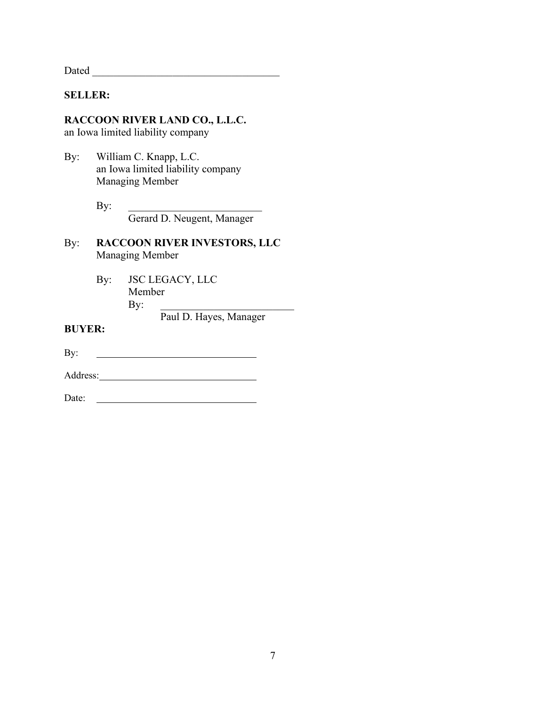Dated \_\_\_\_\_\_\_\_\_\_\_\_\_\_\_\_\_\_\_\_\_\_\_\_\_\_\_\_\_\_\_\_\_\_\_

### **SELLER:**

# **RACCOON RIVER LAND CO., L.L.C.**

an Iowa limited liability company

By: William C. Knapp, L.C. an Iowa limited liability company Managing Member

> $\mathbf{By:}$ Gerard D. Neugent, Manager

- By: **RACCOON RIVER INVESTORS, LLC** Managing Member
	- By: JSC LEGACY, LLC Member  $\mathbf{By:}$

Paul D. Hayes, Manager

**BUYER:**

<u> 1990 - Johann Barbara, martin a</u> By:

Address: No. 1998. The Manual School and The Manual School and The Manual School and The Manual School and The Manual School and The Manual School and The Manual School and The Manual School and The Manual School and The M

Date: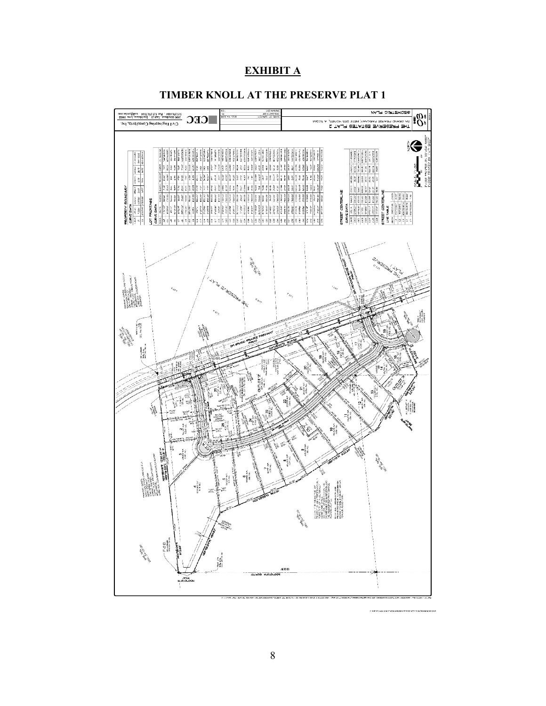## **EXHIBIT A**



#### **TIMBER KNOLL AT THE PRESERVE PLAT 1**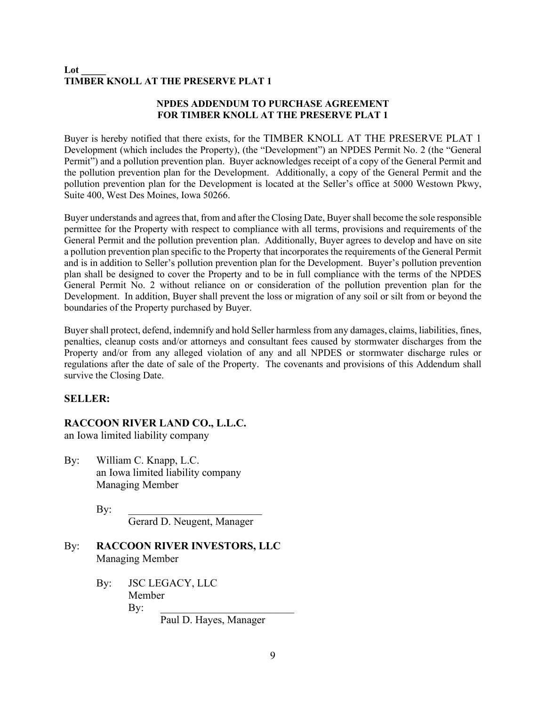#### **Lot \_\_\_\_\_ TIMBER KNOLL AT THE PRESERVE PLAT 1**

#### **NPDES ADDENDUM TO PURCHASE AGREEMENT FOR TIMBER KNOLL AT THE PRESERVE PLAT 1**

Buyer is hereby notified that there exists, for the TIMBER KNOLL AT THE PRESERVE PLAT 1 Development (which includes the Property), (the "Development") an NPDES Permit No. 2 (the "General Permit") and a pollution prevention plan. Buyer acknowledges receipt of a copy of the General Permit and the pollution prevention plan for the Development. Additionally, a copy of the General Permit and the pollution prevention plan for the Development is located at the Seller's office at 5000 Westown Pkwy, Suite 400, West Des Moines, Iowa 50266.

Buyer understands and agrees that, from and after the Closing Date, Buyer shall become the sole responsible permittee for the Property with respect to compliance with all terms, provisions and requirements of the General Permit and the pollution prevention plan. Additionally, Buyer agrees to develop and have on site a pollution prevention plan specific to the Property that incorporates the requirements of the General Permit and is in addition to Seller's pollution prevention plan for the Development. Buyer's pollution prevention plan shall be designed to cover the Property and to be in full compliance with the terms of the NPDES General Permit No. 2 without reliance on or consideration of the pollution prevention plan for the Development. In addition, Buyer shall prevent the loss or migration of any soil or silt from or beyond the boundaries of the Property purchased by Buyer.

Buyer shall protect, defend, indemnify and hold Seller harmless from any damages, claims, liabilities, fines, penalties, cleanup costs and/or attorneys and consultant fees caused by stormwater discharges from the Property and/or from any alleged violation of any and all NPDES or stormwater discharge rules or regulations after the date of sale of the Property. The covenants and provisions of this Addendum shall survive the Closing Date.

#### **SELLER:**

#### **RACCOON RIVER LAND CO., L.L.C.**

an Iowa limited liability company

By: William C. Knapp, L.C. an Iowa limited liability company Managing Member

By: \_\_\_\_\_\_\_\_\_\_\_\_\_\_\_\_\_\_\_\_\_\_\_\_\_

Gerard D. Neugent, Manager

- By: **RACCOON RIVER INVESTORS, LLC** Managing Member
	- By: JSC LEGACY, LLC Member By: \_\_\_\_\_\_\_\_\_\_\_\_\_\_\_\_\_\_\_\_\_\_\_\_\_

Paul D. Hayes, Manager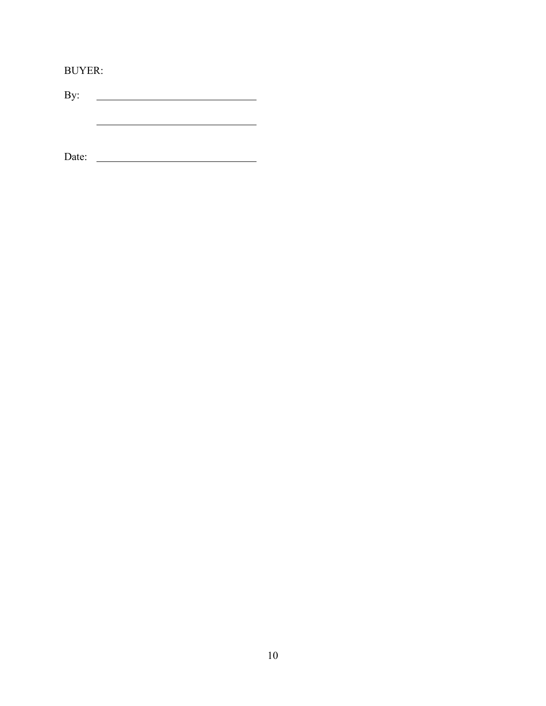BUYER:

By: <u> Alexandria (Carlo Carlo Carlo Carlo Carlo Carlo Carlo Carlo Carlo Carlo Carlo Carlo Carlo Carlo Carlo Carlo Ca</u>

<u> 1989 - Johann Barn, fransk politik (</u>

Date: